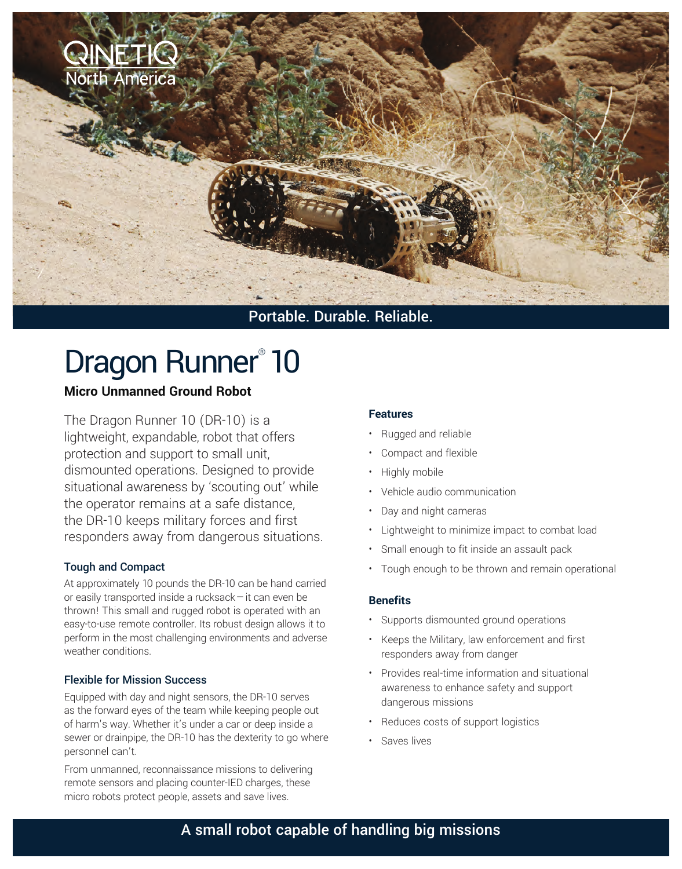

# Dragon Runner<sup>®</sup> 10

### **Micro Unmanned Ground Robot**

The Dragon Runner 10 (DR-10) is a lightweight, expandable, robot that offers protection and support to small unit, dismounted operations. Designed to provide situational awareness by 'scouting out' while the operator remains at a safe distance, the DR-10 keeps military forces and first responders away from dangerous situations.

#### Tough and Compact

At approximately 10 pounds the DR-10 can be hand carried or easily transported inside a rucksack—it can even be thrown! This small and rugged robot is operated with an easy-to-use remote controller. Its robust design allows it to perform in the most challenging environments and adverse weather conditions.

#### Flexible for Mission Success

Equipped with day and night sensors, the DR-10 serves as the forward eyes of the team while keeping people out of harm's way. Whether it's under a car or deep inside a sewer or drainpipe, the DR-10 has the dexterity to go where personnel can't.

From unmanned, reconnaissance missions to delivering remote sensors and placing counter-IED charges, these micro robots protect people, assets and save lives.

#### **Features**

- Rugged and reliable
- Compact and flexible
- Highly mobile
- Vehicle audio communication
- Day and night cameras
- Lightweight to minimize impact to combat load
- Small enough to fit inside an assault pack
- Tough enough to be thrown and remain operational

#### **Benefits**

- Supports dismounted ground operations
- Keeps the Military, law enforcement and first responders away from danger
- Provides real-time information and situational awareness to enhance safety and support dangerous missions
- Reduces costs of support logistics
- Saves lives